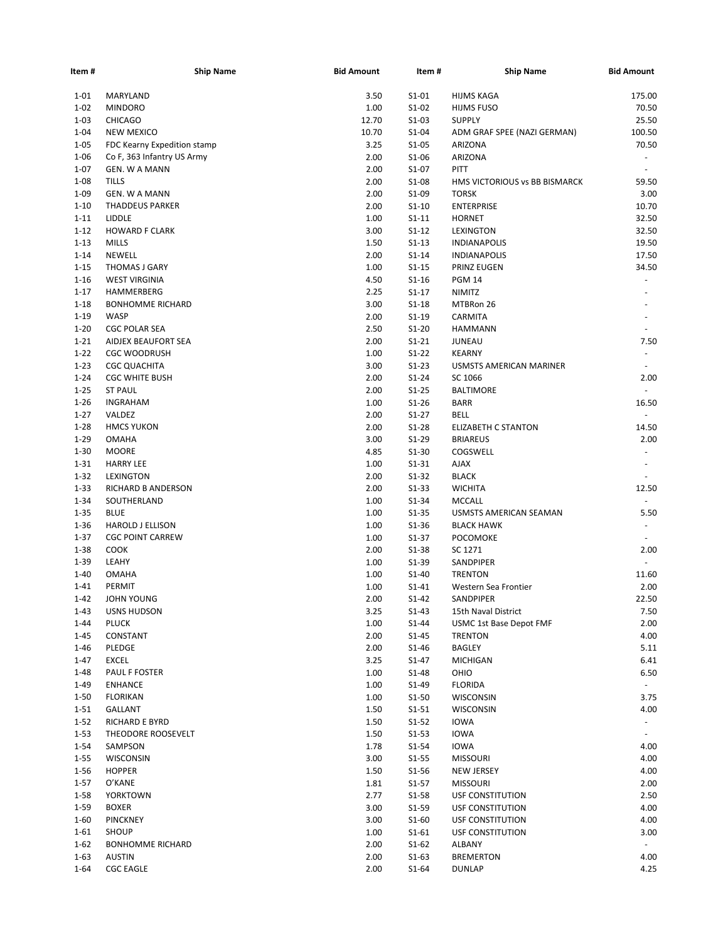| Item #   | <b>Ship Name</b>            | <b>Bid Amount</b> | Item#     | <b>Ship Name</b>              | <b>Bid Amount</b>        |
|----------|-----------------------------|-------------------|-----------|-------------------------------|--------------------------|
| $1 - 01$ | MARYLAND                    | 3.50              | $S1-01$   | HIJMS KAGA                    | 175.00                   |
| $1 - 02$ | <b>MINDORO</b>              | 1.00              | $S1-02$   | <b>HIJMS FUSO</b>             | 70.50                    |
| $1 - 03$ | <b>CHICAGO</b>              | 12.70             | $S1-03$   | <b>SUPPLY</b>                 | 25.50                    |
| $1 - 04$ | <b>NEW MEXICO</b>           | 10.70             | $S1-04$   | ADM GRAF SPEE (NAZI GERMAN)   | 100.50                   |
| $1 - 05$ | FDC Kearny Expedition stamp | 3.25              | $S1-05$   | <b>ARIZONA</b>                | 70.50                    |
| $1 - 06$ | Co F, 363 Infantry US Army  | 2.00              | $S1-06$   | ARIZONA                       | $\sim$                   |
| $1 - 07$ | GEN. W A MANN               | 2.00              | $S1-07$   | PITT                          | $\sim$                   |
| $1 - 08$ | <b>TILLS</b>                | 2.00              | S1-08     | HMS VICTORIOUS vs BB BISMARCK | 59.50                    |
| $1 - 09$ | GEN. W A MANN               | 2.00              | S1-09     | <b>TORSK</b>                  | 3.00                     |
| $1 - 10$ | THADDEUS PARKER             | 2.00              | $S1-10$   | <b>ENTERPRISE</b>             | 10.70                    |
| $1 - 11$ | LIDDLE                      | 1.00              | $S1 - 11$ | <b>HORNET</b>                 | 32.50                    |
| $1 - 12$ | <b>HOWARD F CLARK</b>       | 3.00              | $S1 - 12$ | <b>LEXINGTON</b>              | 32.50                    |
| $1 - 13$ | <b>MILLS</b>                | 1.50              | $S1 - 13$ | <b>INDIANAPOLIS</b>           | 19.50                    |
| $1 - 14$ | <b>NEWELL</b>               | 2.00              | $S1-14$   | <b>INDIANAPOLIS</b>           | 17.50                    |
| $1 - 15$ |                             | 1.00              | $S1-15$   |                               | 34.50                    |
|          | THOMAS J GARY               |                   |           | <b>PRINZ EUGEN</b>            |                          |
| $1 - 16$ | <b>WEST VIRGINIA</b>        | 4.50              | $S1 - 16$ | <b>PGM 14</b>                 |                          |
| $1 - 17$ | HAMMERBERG                  | 2.25              | $S1-17$   | <b>NIMITZ</b>                 |                          |
| $1 - 18$ | <b>BONHOMME RICHARD</b>     | 3.00              | $S1-18$   | MTBRon 26                     |                          |
| $1 - 19$ | <b>WASP</b>                 | 2.00              | $S1-19$   | CARMITA                       |                          |
| $1 - 20$ | <b>CGC POLAR SEA</b>        | 2.50              | $S1-20$   | <b>HAMMANN</b>                |                          |
| $1 - 21$ | AIDJEX BEAUFORT SEA         | 2.00              | $S1 - 21$ | <b>JUNEAU</b>                 | 7.50                     |
| $1 - 22$ | <b>CGC WOODRUSH</b>         | 1.00              | $S1-22$   | <b>KEARNY</b>                 | $\sim$                   |
| $1 - 23$ | <b>CGC QUACHITA</b>         | 3.00              | $S1-23$   | USMSTS AMERICAN MARINER       |                          |
| $1 - 24$ | <b>CGC WHITE BUSH</b>       | 2.00              | $S1-24$   | SC 1066                       | 2.00                     |
| $1 - 25$ | <b>ST PAUL</b>              | 2.00              | $S1 - 25$ | <b>BALTIMORE</b>              |                          |
| $1 - 26$ | <b>INGRAHAM</b>             | 1.00              | $S1 - 26$ | <b>BARR</b>                   | 16.50                    |
| $1 - 27$ | VALDEZ                      | 2.00              | $S1-27$   | BELL                          | $\omega$                 |
| $1 - 28$ | <b>HMCS YUKON</b>           | 2.00              | $S1-28$   | <b>ELIZABETH C STANTON</b>    | 14.50                    |
| $1 - 29$ | <b>OMAHA</b>                | 3.00              | $S1-29$   | <b>BRIAREUS</b>               | 2.00                     |
| $1 - 30$ | <b>MOORE</b>                | 4.85              | $S1-30$   | COGSWELL                      | $\overline{\phantom{a}}$ |
| $1 - 31$ | <b>HARRY LEE</b>            | 1.00              | $S1 - 31$ | <b>AJAX</b>                   | $\sim$                   |
| $1 - 32$ | LEXINGTON                   | 2.00              | $S1-32$   | <b>BLACK</b>                  |                          |
| $1 - 33$ | RICHARD B ANDERSON          | 2.00              | $S1-33$   | <b>WICHITA</b>                | 12.50                    |
| $1 - 34$ | SOUTHERLAND                 | 1.00              | $S1 - 34$ | <b>MCCALL</b>                 |                          |
| $1 - 35$ | <b>BLUE</b>                 | 1.00              | $S1 - 35$ | USMSTS AMERICAN SEAMAN        | 5.50                     |
| $1 - 36$ | <b>HAROLD J ELLISON</b>     | 1.00              | $S1-36$   | <b>BLACK HAWK</b>             | $\sim$                   |
| $1 - 37$ | <b>CGC POINT CARREW</b>     | 1.00              | $S1-37$   | <b>POCOMOKE</b>               |                          |
| $1 - 38$ | <b>COOK</b>                 | 2.00              | $S1 - 38$ | SC 1271                       | 2.00                     |
| $1 - 39$ | LEAHY                       | 1.00              | S1-39     | SANDPIPER                     | $\sim$                   |
| $1 - 40$ | <b>OMAHA</b>                | 1.00              | S1-40     | <b>TRENTON</b>                | 11.60                    |
| $1 - 41$ | PERMIT                      | 1.00              | $S1 - 41$ | Western Sea Frontier          | 2.00                     |
| $1 - 42$ | JOHN YOUNG                  | 2.00              | $S1-42$   | SANDPIPER                     | 22.50                    |
| 1-43     | <b>USNS HUDSON</b>          | 3.25              | $S1 - 43$ | 15th Naval District           | 7.50                     |
| $1 - 44$ | <b>PLUCK</b>                | 1.00              | $S1 - 44$ | USMC 1st Base Depot FMF       | 2.00                     |
| $1 - 45$ | CONSTANT                    | 2.00              | $S1 - 45$ | <b>TRENTON</b>                | 4.00                     |
| $1 - 46$ | PLEDGE                      | 2.00              | $S1-46$   | <b>BAGLEY</b>                 | 5.11                     |
| $1 - 47$ | <b>EXCEL</b>                | 3.25              | $S1 - 47$ | <b>MICHIGAN</b>               | 6.41                     |
| $1 - 48$ | PAUL F FOSTER               | 1.00              | $S1-48$   |                               |                          |
|          |                             |                   |           | OHIO                          | 6.50                     |
| $1 - 49$ | <b>ENHANCE</b>              | 1.00              | S1-49     | <b>FLORIDA</b>                | $\sim$                   |
| $1 - 50$ | <b>FLORIKAN</b>             | 1.00              | $S1-50$   | WISCONSIN                     | 3.75                     |
| $1 - 51$ | GALLANT                     | 1.50              | $S1 - 51$ | WISCONSIN                     | 4.00                     |
| $1 - 52$ | RICHARD E BYRD              | 1.50              | $S1 - 52$ | <b>IOWA</b>                   | $\sim$                   |
| $1 - 53$ | THEODORE ROOSEVELT          | 1.50              | $S1 - 53$ | <b>IOWA</b>                   |                          |
| $1 - 54$ | SAMPSON                     | 1.78              | $S1-54$   | <b>IOWA</b>                   | 4.00                     |
| $1 - 55$ | WISCONSIN                   | 3.00              | $S1 - 55$ | <b>MISSOURI</b>               | 4.00                     |
| $1 - 56$ | <b>HOPPER</b>               | 1.50              | $S1 - 56$ | <b>NEW JERSEY</b>             | 4.00                     |
| $1 - 57$ | O'KANE                      | 1.81              | $S1 - 57$ | <b>MISSOURI</b>               | 2.00                     |
| $1 - 58$ | <b>YORKTOWN</b>             | 2.77              | $S1 - 58$ | USF CONSTITUTION              | 2.50                     |
| $1 - 59$ | <b>BOXER</b>                | 3.00              | S1-59     | USF CONSTITUTION              | 4.00                     |
| $1 - 60$ | <b>PINCKNEY</b>             | 3.00              | $S1-60$   | USF CONSTITUTION              | 4.00                     |
| $1 - 61$ | <b>SHOUP</b>                | 1.00              | $S1 - 61$ | USF CONSTITUTION              | 3.00                     |
| $1 - 62$ | <b>BONHOMME RICHARD</b>     | 2.00              | $S1-62$   | ALBANY                        | $\sim$                   |
| $1 - 63$ | AUSTIN                      | 2.00              | $S1-63$   | <b>BREMERTON</b>              | 4.00                     |
| $1 - 64$ | <b>CGC EAGLE</b>            | 2.00              | $S1-64$   | <b>DUNLAP</b>                 | 4.25                     |